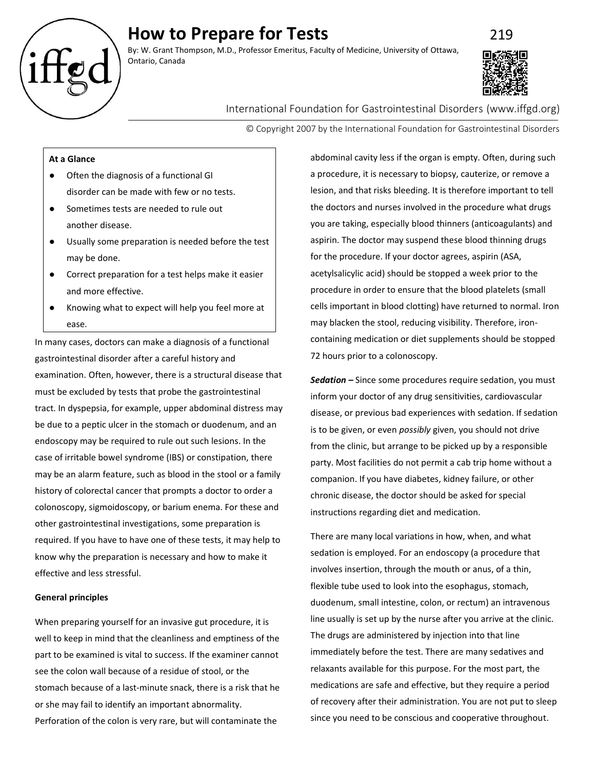# **How to Prepare for Tests** 219

By: W. Grant Thompson, M.D., Professor Emeritus, Faculty of Medicine, University of Ottawa, Ontario, Canada



# International Foundation for Gastrointestinal Disorders (www.iffgd.org)

© Copyright 2007 by the International Foundation for Gastrointestinal Disorders

# **At a Glance**

- Often the diagnosis of a functional GI disorder can be made with few or no tests.
- Sometimes tests are needed to rule out another disease.
- Usually some preparation is needed before the test may be done.
- Correct preparation for a test helps make it easier and more effective.
- Knowing what to expect will help you feel more at ease.

In many cases, doctors can make a diagnosis of a functional gastrointestinal disorder after a careful history and examination. Often, however, there is a structural disease that must be excluded by tests that probe the gastrointestinal tract. In dyspepsia, for example, upper abdominal distress may be due to a peptic ulcer in the stomach or duodenum, and an endoscopy may be required to rule out such lesions. In the case of irritable bowel syndrome (IBS) or constipation, there may be an alarm feature, such as blood in the stool or a family history of colorectal cancer that prompts a doctor to order a colonoscopy, sigmoidoscopy, or barium enema. For these and other gastrointestinal investigations, some preparation is required. If you have to have one of these tests, it may help to know why the preparation is necessary and how to make it effective and less stressful.

# **General principles**

When preparing yourself for an invasive gut procedure, it is well to keep in mind that the cleanliness and emptiness of the part to be examined is vital to success. If the examiner cannot see the colon wall because of a residue of stool, or the stomach because of a last-minute snack, there is a risk that he or she may fail to identify an important abnormality. Perforation of the colon is very rare, but will contaminate the

abdominal cavity less if the organ is empty. Often, during such a procedure, it is necessary to biopsy, cauterize, or remove a lesion, and that risks bleeding. It is therefore important to tell the doctors and nurses involved in the procedure what drugs you are taking, especially blood thinners (anticoagulants) and aspirin. The doctor may suspend these blood thinning drugs for the procedure. If your doctor agrees, aspirin (ASA, acetylsalicylic acid) should be stopped a week prior to the procedure in order to ensure that the blood platelets (small cells important in blood clotting) have returned to normal. Iron may blacken the stool, reducing visibility. Therefore, ironcontaining medication or diet supplements should be stopped 72 hours prior to a colonoscopy.

*Sedation –* Since some procedures require sedation, you must inform your doctor of any drug sensitivities, cardiovascular disease, or previous bad experiences with sedation. If sedation is to be given, or even *possibly* given, you should not drive from the clinic, but arrange to be picked up by a responsible party. Most facilities do not permit a cab trip home without a companion. If you have diabetes, kidney failure, or other chronic disease, the doctor should be asked for special instructions regarding diet and medication.

There are many local variations in how, when, and what sedation is employed. For an endoscopy (a procedure that involves insertion, through the mouth or anus, of a thin, flexible tube used to look into the esophagus, stomach, duodenum, small intestine, colon, or rectum) an intravenous line usually is set up by the nurse after you arrive at the clinic. The drugs are administered by injection into that line immediately before the test. There are many sedatives and relaxants available for this purpose. For the most part, the medications are safe and effective, but they require a period of recovery after their administration. You are not put to sleep since you need to be conscious and cooperative throughout.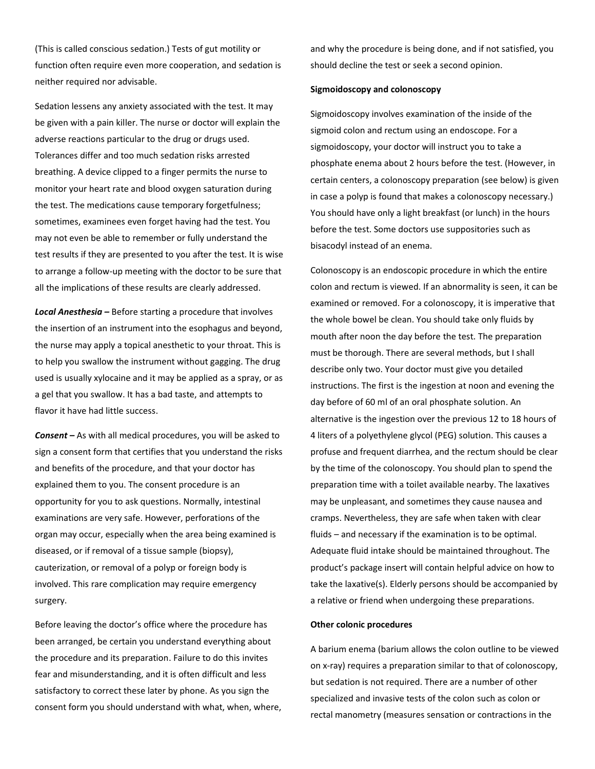(This is called conscious sedation.) Tests of gut motility or function often require even more cooperation, and sedation is neither required nor advisable.

Sedation lessens any anxiety associated with the test. It may be given with a pain killer. The nurse or doctor will explain the adverse reactions particular to the drug or drugs used. Tolerances differ and too much sedation risks arrested breathing. A device clipped to a finger permits the nurse to monitor your heart rate and blood oxygen saturation during the test. The medications cause temporary forgetfulness; sometimes, examinees even forget having had the test. You may not even be able to remember or fully understand the test results if they are presented to you after the test. It is wise to arrange a follow-up meeting with the doctor to be sure that all the implications of these results are clearly addressed.

*Local Anesthesia –* Before starting a procedure that involves the insertion of an instrument into the esophagus and beyond, the nurse may apply a topical anesthetic to your throat. This is to help you swallow the instrument without gagging. The drug used is usually xylocaine and it may be applied as a spray, or as a gel that you swallow. It has a bad taste, and attempts to flavor it have had little success.

*Consent –* As with all medical procedures, you will be asked to sign a consent form that certifies that you understand the risks and benefits of the procedure, and that your doctor has explained them to you. The consent procedure is an opportunity for you to ask questions. Normally, intestinal examinations are very safe. However, perforations of the organ may occur, especially when the area being examined is diseased, or if removal of a tissue sample (biopsy), cauterization, or removal of a polyp or foreign body is involved. This rare complication may require emergency surgery.

Before leaving the doctor's office where the procedure has been arranged, be certain you understand everything about the procedure and its preparation. Failure to do this invites fear and misunderstanding, and it is often difficult and less satisfactory to correct these later by phone. As you sign the consent form you should understand with what, when, where,

and why the procedure is being done, and if not satisfied, you should decline the test or seek a second opinion.

## **Sigmoidoscopy and colonoscopy**

Sigmoidoscopy involves examination of the inside of the sigmoid colon and rectum using an endoscope. For a sigmoidoscopy, your doctor will instruct you to take a phosphate enema about 2 hours before the test. (However, in certain centers, a colonoscopy preparation (see below) is given in case a polyp is found that makes a colonoscopy necessary.) You should have only a light breakfast (or lunch) in the hours before the test. Some doctors use suppositories such as bisacodyl instead of an enema.

Colonoscopy is an endoscopic procedure in which the entire colon and rectum is viewed. If an abnormality is seen, it can be examined or removed. For a colonoscopy, it is imperative that the whole bowel be clean. You should take only fluids by mouth after noon the day before the test. The preparation must be thorough. There are several methods, but I shall describe only two. Your doctor must give you detailed instructions. The first is the ingestion at noon and evening the day before of 60 ml of an oral phosphate solution. An alternative is the ingestion over the previous 12 to 18 hours of 4 liters of a polyethylene glycol (PEG) solution. This causes a profuse and frequent diarrhea, and the rectum should be clear by the time of the colonoscopy. You should plan to spend the preparation time with a toilet available nearby. The laxatives may be unpleasant, and sometimes they cause nausea and cramps. Nevertheless, they are safe when taken with clear fluids – and necessary if the examination is to be optimal. Adequate fluid intake should be maintained throughout. The product's package insert will contain helpful advice on how to take the laxative(s). Elderly persons should be accompanied by a relative or friend when undergoing these preparations.

## **Other colonic procedures**

A barium enema (barium allows the colon outline to be viewed on x-ray) requires a preparation similar to that of colonoscopy, but sedation is not required. There are a number of other specialized and invasive tests of the colon such as colon or rectal manometry (measures sensation or contractions in the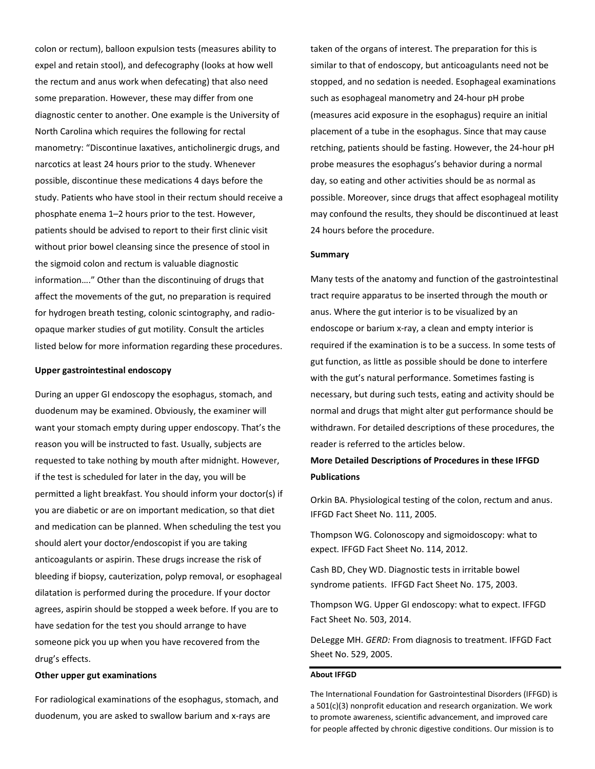colon or rectum), balloon expulsion tests (measures ability to expel and retain stool), and defecography (looks at how well the rectum and anus work when defecating) that also need some preparation. However, these may differ from one diagnostic center to another. One example is the University of North Carolina which requires the following for rectal manometry: "Discontinue laxatives, anticholinergic drugs, and narcotics at least 24 hours prior to the study. Whenever possible, discontinue these medications 4 days before the study. Patients who have stool in their rectum should receive a phosphate enema 1–2 hours prior to the test. However, patients should be advised to report to their first clinic visit without prior bowel cleansing since the presence of stool in the sigmoid colon and rectum is valuable diagnostic information…." Other than the discontinuing of drugs that affect the movements of the gut, no preparation is required for hydrogen breath testing, colonic scintography, and radioopaque marker studies of gut motility. Consult the articles listed below for more information regarding these procedures.

#### **Upper gastrointestinal endoscopy**

During an upper GI endoscopy the esophagus, stomach, and duodenum may be examined. Obviously, the examiner will want your stomach empty during upper endoscopy. That's the reason you will be instructed to fast. Usually, subjects are requested to take nothing by mouth after midnight. However, if the test is scheduled for later in the day, you will be permitted a light breakfast. You should inform your doctor(s) if you are diabetic or are on important medication, so that diet and medication can be planned. When scheduling the test you should alert your doctor/endoscopist if you are taking anticoagulants or aspirin. These drugs increase the risk of bleeding if biopsy, cauterization, polyp removal, or esophageal dilatation is performed during the procedure. If your doctor agrees, aspirin should be stopped a week before. If you are to have sedation for the test you should arrange to have someone pick you up when you have recovered from the drug's effects.

## **Other upper gut examinations**

For radiological examinations of the esophagus, stomach, and duodenum, you are asked to swallow barium and x-rays are

taken of the organs of interest. The preparation for this is similar to that of endoscopy, but anticoagulants need not be stopped, and no sedation is needed. Esophageal examinations such as esophageal manometry and 24-hour pH probe (measures acid exposure in the esophagus) require an initial placement of a tube in the esophagus. Since that may cause retching, patients should be fasting. However, the 24-hour pH probe measures the esophagus's behavior during a normal day, so eating and other activities should be as normal as possible. Moreover, since drugs that affect esophageal motility may confound the results, they should be discontinued at least 24 hours before the procedure.

# **Summary**

Many tests of the anatomy and function of the gastrointestinal tract require apparatus to be inserted through the mouth or anus. Where the gut interior is to be visualized by an endoscope or barium x-ray, a clean and empty interior is required if the examination is to be a success. In some tests of gut function, as little as possible should be done to interfere with the gut's natural performance. Sometimes fasting is necessary, but during such tests, eating and activity should be normal and drugs that might alter gut performance should be withdrawn. For detailed descriptions of these procedures, the reader is referred to the articles below.

# **More Detailed Descriptions of Procedures in these IFFGD Publications**

Orkin BA. Physiological testing of the colon, rectum and anus. IFFGD Fact Sheet No. 111, 2005.

Thompson WG. Colonoscopy and sigmoidoscopy: what to expect. IFFGD Fact Sheet No. 114, 2012.

Cash BD, Chey WD. Diagnostic tests in irritable bowel syndrome patients. IFFGD Fact Sheet No. 175, 2003.

Thompson WG. Upper GI endoscopy: what to expect. IFFGD Fact Sheet No. 503, 2014.

DeLegge MH. *GERD:* From diagnosis to treatment. IFFGD Fact Sheet No. 529, 2005.

#### **About IFFGD**

The International Foundation for Gastrointestinal Disorders (IFFGD) is a 501(c)(3) nonprofit education and research organization. We work to promote awareness, scientific advancement, and improved care for people affected by chronic digestive conditions. Our mission is to